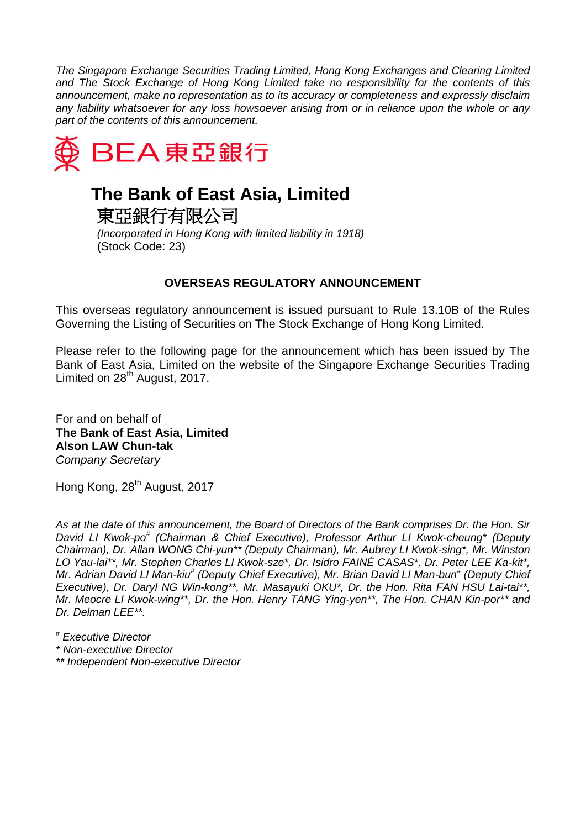*The Singapore Exchange Securities Trading Limited, Hong Kong Exchanges and Clearing Limited and The Stock Exchange of Hong Kong Limited take no responsibility for the contents of this announcement, make no representation as to its accuracy or completeness and expressly disclaim any liability whatsoever for any loss howsoever arising from or in reliance upon the whole or any part of the contents of this announcement.*



## **The Bank of East Asia, Limited**

東亞銀行有限公司 *(Incorporated in Hong Kong with limited liability in 1918)* (Stock Code: 23)

## **OVERSEAS REGULATORY ANNOUNCEMENT**

This overseas regulatory announcement is issued pursuant to Rule 13.10B of the Rules Governing the Listing of Securities on The Stock Exchange of Hong Kong Limited.

Please refer to the following page for the announcement which has been issued by The Bank of East Asia, Limited on the website of the Singapore Exchange Securities Trading Limited on 28<sup>th</sup> August, 2017.

For and on behalf of **The Bank of East Asia, Limited Alson LAW Chun-tak** *Company Secretary*

Hong Kong, 28<sup>th</sup> August, 2017

*As at the date of this announcement, the Board of Directors of the Bank comprises Dr. the Hon. Sir David LI Kwok-po# (Chairman & Chief Executive), Professor Arthur LI Kwok-cheung\* (Deputy Chairman), Dr. Allan WONG Chi-yun\*\* (Deputy Chairman), Mr. Aubrey LI Kwok-sing\*, Mr. Winston LO Yau-lai\*\*, Mr. Stephen Charles LI Kwok-sze\*, Dr. Isidro FAINÉ CASAS\*, Dr. Peter LEE Ka-kit\*, Mr. Adrian David LI Man-kiu# (Deputy Chief Executive), Mr. Brian David LI Man-bun# (Deputy Chief Executive), Dr. Daryl NG Win-kong\*\*, Mr. Masayuki OKU\*, Dr. the Hon. Rita FAN HSU Lai-tai\*\*, Mr. Meocre LI Kwok-wing\*\*, Dr. the Hon. Henry TANG Ying-yen\*\*, The Hon. CHAN Kin-por\*\* and Dr. Delman LEE\*\*.*

*# Executive Director*

- *\* Non-executive Director*
- *\*\* Independent Non-executive Director*